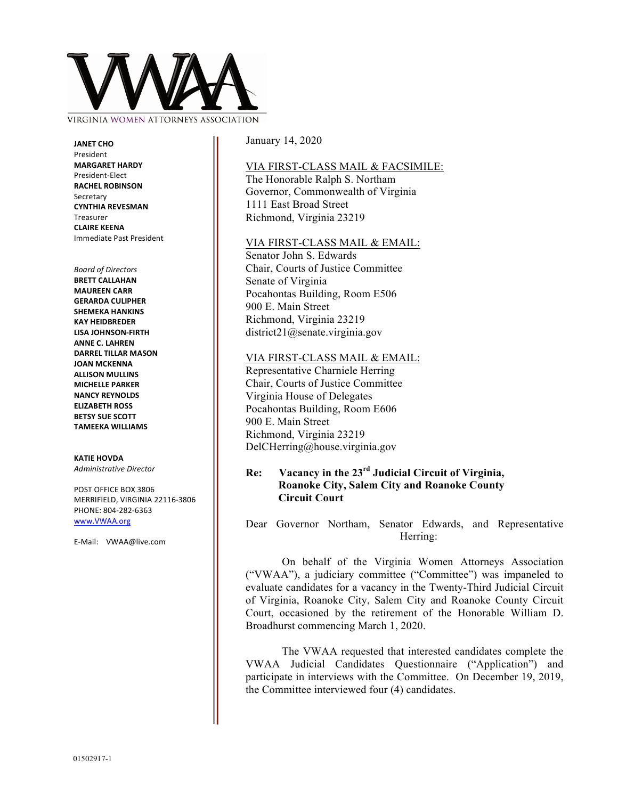

VIRGINIA WOMEN AT

**JANET CHO** President **MARGARET HARDY** President-Elect **RACHEL ROBINSON** Secretary **CYNTHIA REVESMAN** Treasurer **CLAIRE KEENA** Immediate Past President

#### *Board of Directors*

**BRETT CALLAHAN MAUREEN CARR GERARDA CULIPHER SHEMEKA HANKINS KAY HEIDBREDER LISA JOHNSON-FIRTH ANNE C. LAHREN DARREL TILLAR MASON JOAN MCKENNA ALLISON MULLINS MICHELLE PARKER NANCY REYNOLDS ELIZABETH ROSS BETSY SUE SCOTT TAMEEKA WILLIAMS**

### **KATIE HOVDA**

*Administrative Director*

POST OFFICE BOX 3806 MERRIFIELD, VIRGINIA 22116-3806 PHONE: 804-282-6363 www.VWAA.org

E-Mail: VWAA@live.com

January 14, 2020

## VIA FIRST-CLASS MAIL & FACSIMILE:

The Honorable Ralph S. Northam Governor, Commonwealth of Virginia 1111 East Broad Street Richmond, Virginia 23219

## VIA FIRST-CLASS MAIL & EMAIL:

Senator John S. Edwards Chair, Courts of Justice Committee Senate of Virginia Pocahontas Building, Room E506 900 E. Main Street Richmond, Virginia 23219 district21@senate.virginia.gov

### VIA FIRST-CLASS MAIL & EMAIL:

Representative Charniele Herring Chair, Courts of Justice Committee Virginia House of Delegates Pocahontas Building, Room E606 900 E. Main Street Richmond, Virginia 23219 DelCHerring@house.virginia.gov

# **Re: Vacancy in the 23rd Judicial Circuit of Virginia, Roanoke City, Salem City and Roanoke County Circuit Court**

Dear Governor Northam, Senator Edwards, and Representative Herring:

On behalf of the Virginia Women Attorneys Association ("VWAA"), a judiciary committee ("Committee") was impaneled to evaluate candidates for a vacancy in the Twenty-Third Judicial Circuit of Virginia, Roanoke City, Salem City and Roanoke County Circuit Court, occasioned by the retirement of the Honorable William D. Broadhurst commencing March 1, 2020.

The VWAA requested that interested candidates complete the VWAA Judicial Candidates Questionnaire ("Application") and participate in interviews with the Committee. On December 19, 2019, the Committee interviewed four (4) candidates.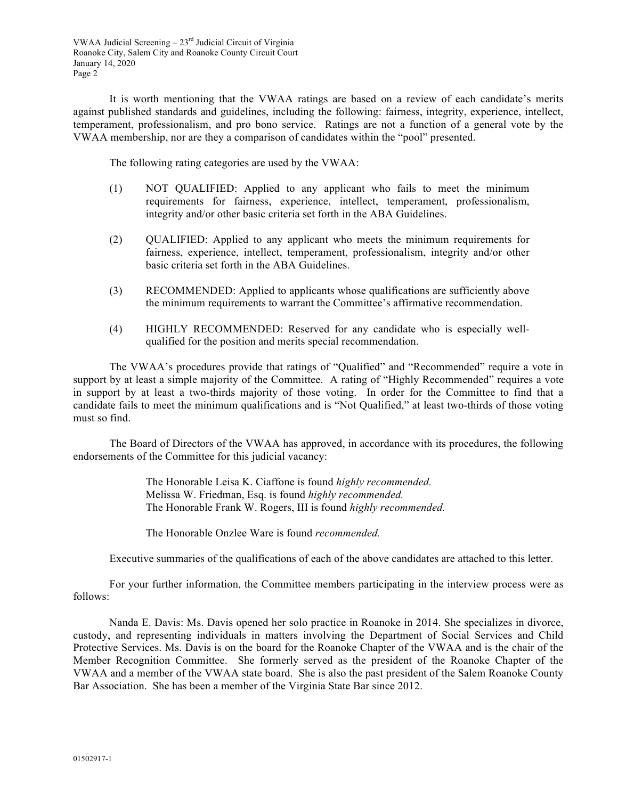It is worth mentioning that the VWAA ratings are based on a review of each candidate's merits against published standards and guidelines, including the following: fairness, integrity, experience, intellect, temperament, professionalism, and pro bono service. Ratings are not a function of a general vote by the VWAA membership, nor are they a comparison of candidates within the "pool" presented.

The following rating categories are used by the VWAA:

- (1) NOT QUALIFIED: Applied to any applicant who fails to meet the minimum requirements for fairness, experience, intellect, temperament, professionalism, integrity and/or other basic criteria set forth in the ABA Guidelines.
- (2) QUALIFIED: Applied to any applicant who meets the minimum requirements for fairness, experience, intellect, temperament, professionalism, integrity and/or other basic criteria set forth in the ABA Guidelines.
- (3) RECOMMENDED: Applied to applicants whose qualifications are sufficiently above the minimum requirements to warrant the Committee's affirmative recommendation.
- (4) HIGHLY RECOMMENDED: Reserved for any candidate who is especially wellqualified for the position and merits special recommendation.

The VWAA's procedures provide that ratings of "Qualified" and "Recommended" require a vote in support by at least a simple majority of the Committee. A rating of "Highly Recommended" requires a vote in support by at least a two-thirds majority of those voting. In order for the Committee to find that a candidate fails to meet the minimum qualifications and is "Not Qualified," at least two-thirds of those voting must so find.

The Board of Directors of the VWAA has approved, in accordance with its procedures, the following endorsements of the Committee for this judicial vacancy:

> The Honorable Leisa K. Ciaffone is found *highly recommended.* Melissa W. Friedman, Esq. is found *highly recommended.* The Honorable Frank W. Rogers, III is found *highly recommended.*

The Honorable Onzlee Ware is found *recommended.*

Executive summaries of the qualifications of each of the above candidates are attached to this letter.

For your further information, the Committee members participating in the interview process were as follows:

Nanda E. Davis: Ms. Davis opened her solo practice in Roanoke in 2014. She specializes in divorce, custody, and representing individuals in matters involving the Department of Social Services and Child Protective Services. Ms. Davis is on the board for the Roanoke Chapter of the VWAA and is the chair of the Member Recognition Committee. She formerly served as the president of the Roanoke Chapter of the VWAA and a member of the VWAA state board. She is also the past president of the Salem Roanoke County Bar Association. She has been a member of the Virginia State Bar since 2012.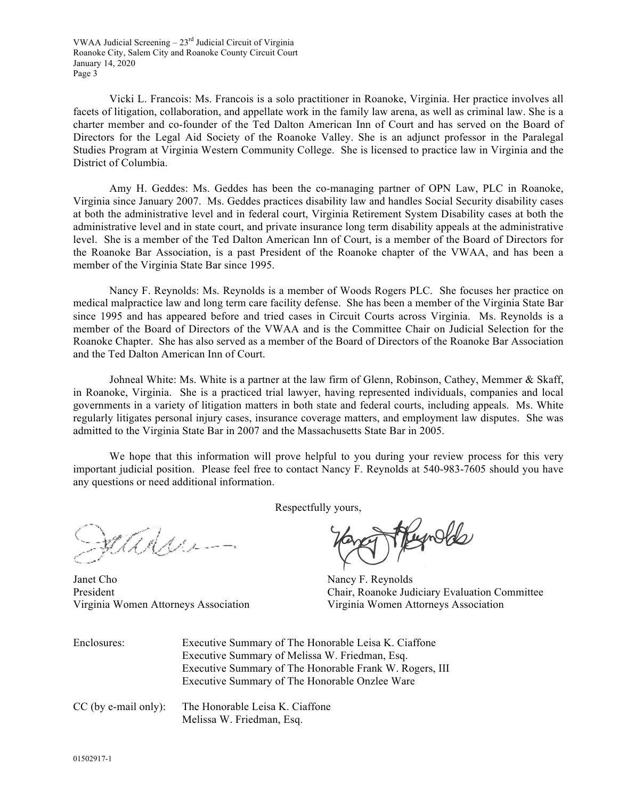Vicki L. Francois: Ms. Francois is a solo practitioner in Roanoke, Virginia. Her practice involves all facets of litigation, collaboration, and appellate work in the family law arena, as well as criminal law. She is a charter member and co-founder of the Ted Dalton American Inn of Court and has served on the Board of Directors for the Legal Aid Society of the Roanoke Valley. She is an adjunct professor in the Paralegal Studies Program at Virginia Western Community College. She is licensed to practice law in Virginia and the District of Columbia.

Amy H. Geddes: Ms. Geddes has been the co-managing partner of OPN Law, PLC in Roanoke, Virginia since January 2007. Ms. Geddes practices disability law and handles Social Security disability cases at both the administrative level and in federal court, Virginia Retirement System Disability cases at both the administrative level and in state court, and private insurance long term disability appeals at the administrative level. She is a member of the Ted Dalton American Inn of Court, is a member of the Board of Directors for the Roanoke Bar Association, is a past President of the Roanoke chapter of the VWAA, and has been a member of the Virginia State Bar since 1995.

Nancy F. Reynolds: Ms. Reynolds is a member of Woods Rogers PLC. She focuses her practice on medical malpractice law and long term care facility defense. She has been a member of the Virginia State Bar since 1995 and has appeared before and tried cases in Circuit Courts across Virginia. Ms. Reynolds is a member of the Board of Directors of the VWAA and is the Committee Chair on Judicial Selection for the Roanoke Chapter. She has also served as a member of the Board of Directors of the Roanoke Bar Association and the Ted Dalton American Inn of Court.

Johneal White: Ms. White is a partner at the law firm of Glenn, Robinson, Cathey, Memmer & Skaff, in Roanoke, Virginia. She is a practiced trial lawyer, having represented individuals, companies and local governments in a variety of litigation matters in both state and federal courts, including appeals. Ms. White regularly litigates personal injury cases, insurance coverage matters, and employment law disputes. She was admitted to the Virginia State Bar in 2007 and the Massachusetts State Bar in 2005.

We hope that this information will prove helpful to you during your review process for this very important judicial position. Please feel free to contact Nancy F. Reynolds at 540-983-7605 should you have any questions or need additional information.

Respectfully yours,

adre

Janet Cho Nancy F. Reynolds Virginia Women Attorneys Association Virginia Women Attorneys Association

Heynolds

President Chair, Roanoke Judiciary Evaluation Committee

| Enclosures: | Executive Summary of The Honorable Leisa K. Ciaffone    |
|-------------|---------------------------------------------------------|
|             | Executive Summary of Melissa W. Friedman, Esq.          |
|             | Executive Summary of The Honorable Frank W. Rogers, III |
|             | Executive Summary of The Honorable Onzlee Ware          |
|             |                                                         |

CC (by e-mail only): The Honorable Leisa K. Ciaffone Melissa W. Friedman, Esq.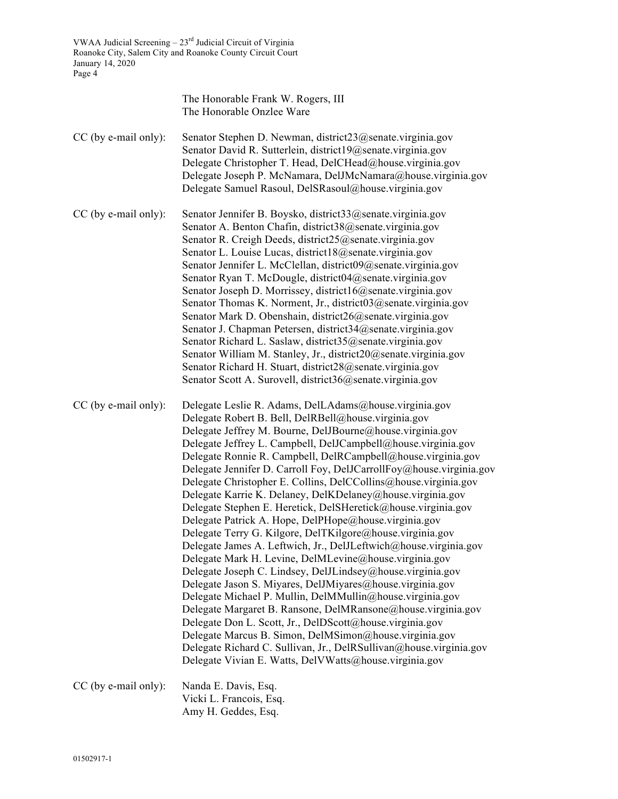|                        | The Honorable Frank W. Rogers, III<br>The Honorable Onzlee Ware                                                                                                                                                                                                                                                                                                                                                                                                                                                                                                                                                                                                                                                                                                                                                                                                                                                                                                                                                                                                                                                                                                                                                                                                                                                                                         |
|------------------------|---------------------------------------------------------------------------------------------------------------------------------------------------------------------------------------------------------------------------------------------------------------------------------------------------------------------------------------------------------------------------------------------------------------------------------------------------------------------------------------------------------------------------------------------------------------------------------------------------------------------------------------------------------------------------------------------------------------------------------------------------------------------------------------------------------------------------------------------------------------------------------------------------------------------------------------------------------------------------------------------------------------------------------------------------------------------------------------------------------------------------------------------------------------------------------------------------------------------------------------------------------------------------------------------------------------------------------------------------------|
| CC (by e-mail only):   | Senator Stephen D. Newman, district23@senate.virginia.gov<br>Senator David R. Sutterlein, district19@senate.virginia.gov<br>Delegate Christopher T. Head, DelCHead@house.virginia.gov<br>Delegate Joseph P. McNamara, DelJMcNamara@house.virginia.gov<br>Delegate Samuel Rasoul, DelSRasoul@house.virginia.gov                                                                                                                                                                                                                                                                                                                                                                                                                                                                                                                                                                                                                                                                                                                                                                                                                                                                                                                                                                                                                                          |
| CC (by e-mail only):   | Senator Jennifer B. Boysko, district33@senate.virginia.gov<br>Senator A. Benton Chafin, district38@senate.virginia.gov<br>Senator R. Creigh Deeds, district25@senate.virginia.gov<br>Senator L. Louise Lucas, district18@senate.virginia.gov<br>Senator Jennifer L. McClellan, district09@senate.virginia.gov<br>Senator Ryan T. McDougle, district04@senate.virginia.gov<br>Senator Joseph D. Morrissey, district16@senate.virginia.gov<br>Senator Thomas K. Norment, Jr., district03@senate.virginia.gov<br>Senator Mark D. Obenshain, district26@senate.virginia.gov<br>Senator J. Chapman Petersen, district34@senate.virginia.gov<br>Senator Richard L. Saslaw, district35@senate.virginia.gov<br>Senator William M. Stanley, Jr., district20@senate.virginia.gov<br>Senator Richard H. Stuart, district28@senate.virginia.gov<br>Senator Scott A. Surovell, district36@senate.virginia.gov                                                                                                                                                                                                                                                                                                                                                                                                                                                        |
| CC (by e-mail only):   | Delegate Leslie R. Adams, DelLAdams@house.virginia.gov<br>Delegate Robert B. Bell, DelRBell@house.virginia.gov<br>Delegate Jeffrey M. Bourne, DelJBourne@house.virginia.gov<br>Delegate Jeffrey L. Campbell, DelJCampbell@house.virginia.gov<br>Delegate Ronnie R. Campbell, DelRCampbell@house.virginia.gov<br>Delegate Jennifer D. Carroll Foy, DelJCarrollFoy@house.virginia.gov<br>Delegate Christopher E. Collins, DelCCollins@house.virginia.gov<br>Delegate Karrie K. Delaney, DelKDelaney@house.virginia.gov<br>Delegate Stephen E. Heretick, DelSHeretick@house.virginia.gov<br>Delegate Patrick A. Hope, DelPHope@house.virginia.gov<br>Delegate Terry G. Kilgore, DelTKilgore@house.virginia.gov<br>Delegate James A. Leftwich, Jr., DelJLeftwich@house.virginia.gov<br>Delegate Mark H. Levine, DelMLevine@house.virginia.gov<br>Delegate Joseph C. Lindsey, DelJLindsey@house.virginia.gov<br>Delegate Jason S. Miyares, DelJMiyares@house.virginia.gov<br>Delegate Michael P. Mullin, DelMMullin@house.virginia.gov<br>Delegate Margaret B. Ransone, DelMRansone@house.virginia.gov<br>Delegate Don L. Scott, Jr., DelDScott@house.virginia.gov<br>Delegate Marcus B. Simon, DelMSimon@house.virginia.gov<br>Delegate Richard C. Sullivan, Jr., DelRSullivan@house.virginia.gov<br>Delegate Vivian E. Watts, DelVWatts@house.virginia.gov |
| $CC$ (by e-mail only): | Nanda E. Davis, Esq.<br>Vicki L. Francois, Esq.<br>Amy H. Geddes, Esq.                                                                                                                                                                                                                                                                                                                                                                                                                                                                                                                                                                                                                                                                                                                                                                                                                                                                                                                                                                                                                                                                                                                                                                                                                                                                                  |

01502917-1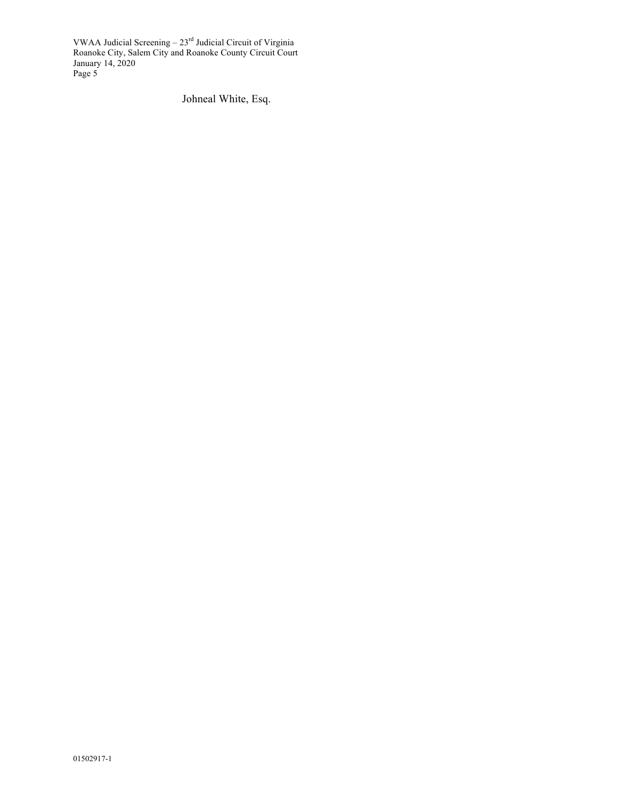Johneal White, Esq.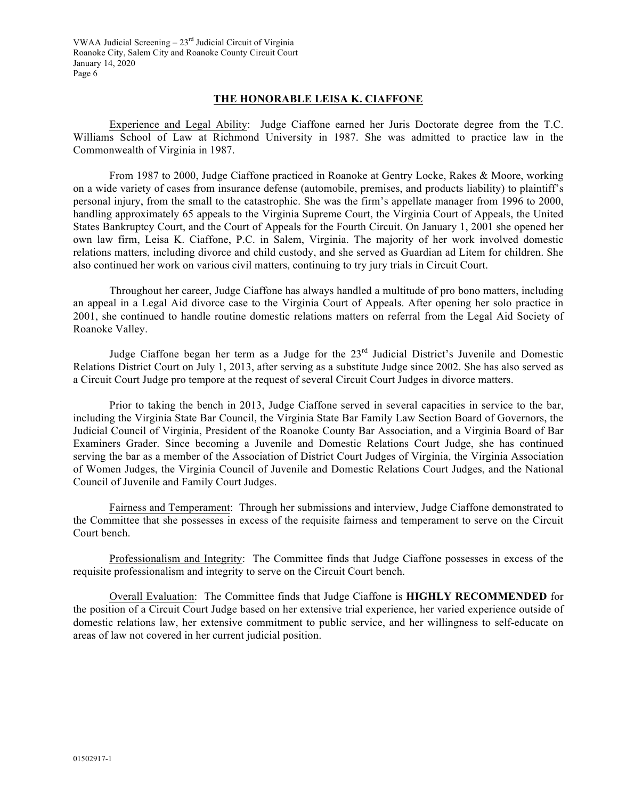# **THE HONORABLE LEISA K. CIAFFONE**

Experience and Legal Ability: Judge Ciaffone earned her Juris Doctorate degree from the T.C. Williams School of Law at Richmond University in 1987. She was admitted to practice law in the Commonwealth of Virginia in 1987.

From 1987 to 2000, Judge Ciaffone practiced in Roanoke at Gentry Locke, Rakes & Moore, working on a wide variety of cases from insurance defense (automobile, premises, and products liability) to plaintiff's personal injury, from the small to the catastrophic. She was the firm's appellate manager from 1996 to 2000, handling approximately 65 appeals to the Virginia Supreme Court, the Virginia Court of Appeals, the United States Bankruptcy Court, and the Court of Appeals for the Fourth Circuit. On January 1, 2001 she opened her own law firm, Leisa K. Ciaffone, P.C. in Salem, Virginia. The majority of her work involved domestic relations matters, including divorce and child custody, and she served as Guardian ad Litem for children. She also continued her work on various civil matters, continuing to try jury trials in Circuit Court.

Throughout her career, Judge Ciaffone has always handled a multitude of pro bono matters, including an appeal in a Legal Aid divorce case to the Virginia Court of Appeals. After opening her solo practice in 2001, she continued to handle routine domestic relations matters on referral from the Legal Aid Society of Roanoke Valley.

Judge Ciaffone began her term as a Judge for the 23rd Judicial District's Juvenile and Domestic Relations District Court on July 1, 2013, after serving as a substitute Judge since 2002. She has also served as a Circuit Court Judge pro tempore at the request of several Circuit Court Judges in divorce matters.

Prior to taking the bench in 2013, Judge Ciaffone served in several capacities in service to the bar, including the Virginia State Bar Council, the Virginia State Bar Family Law Section Board of Governors, the Judicial Council of Virginia, President of the Roanoke County Bar Association, and a Virginia Board of Bar Examiners Grader. Since becoming a Juvenile and Domestic Relations Court Judge, she has continued serving the bar as a member of the Association of District Court Judges of Virginia, the Virginia Association of Women Judges, the Virginia Council of Juvenile and Domestic Relations Court Judges, and the National Council of Juvenile and Family Court Judges.

Fairness and Temperament: Through her submissions and interview, Judge Ciaffone demonstrated to the Committee that she possesses in excess of the requisite fairness and temperament to serve on the Circuit Court bench.

Professionalism and Integrity: The Committee finds that Judge Ciaffone possesses in excess of the requisite professionalism and integrity to serve on the Circuit Court bench.

Overall Evaluation: The Committee finds that Judge Ciaffone is **HIGHLY RECOMMENDED** for the position of a Circuit Court Judge based on her extensive trial experience, her varied experience outside of domestic relations law, her extensive commitment to public service, and her willingness to self-educate on areas of law not covered in her current judicial position.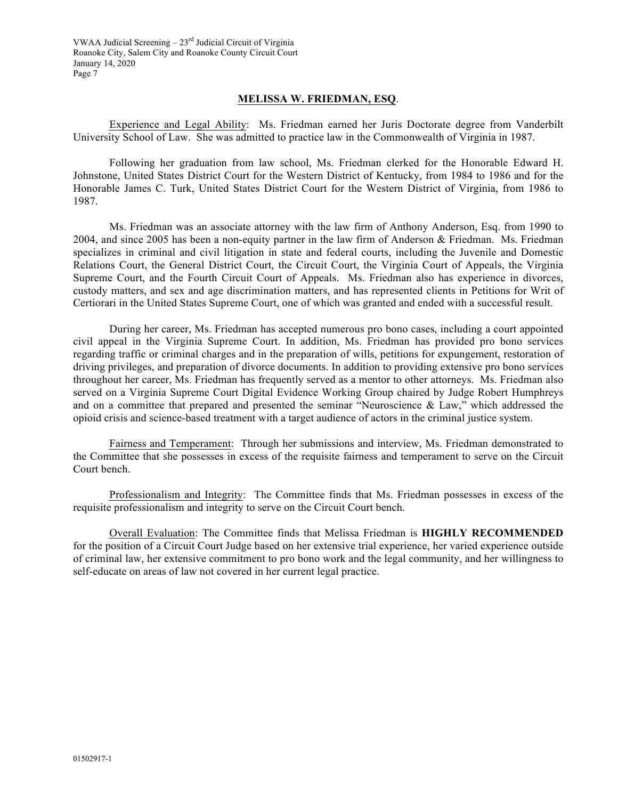# **MELISSA W. FRIEDMAN, ESQ**.

Experience and Legal Ability: Ms. Friedman earned her Juris Doctorate degree from Vanderbilt University School of Law. She was admitted to practice law in the Commonwealth of Virginia in 1987.

Following her graduation from law school, Ms. Friedman clerked for the Honorable Edward H. Johnstone, United States District Court for the Western District of Kentucky, from 1984 to 1986 and for the Honorable James C. Turk, United States District Court for the Western District of Virginia, from 1986 to 1987.

Ms. Friedman was an associate attorney with the law firm of Anthony Anderson, Esq. from 1990 to 2004, and since 2005 has been a non-equity partner in the law firm of Anderson & Friedman. Ms. Friedman specializes in criminal and civil litigation in state and federal courts, including the Juvenile and Domestic Relations Court, the General District Court, the Circuit Court, the Virginia Court of Appeals, the Virginia Supreme Court, and the Fourth Circuit Court of Appeals. Ms. Friedman also has experience in divorces, custody matters, and sex and age discrimination matters, and has represented clients in Petitions for Writ of Certiorari in the United States Supreme Court, one of which was granted and ended with a successful result.

During her career, Ms. Friedman has accepted numerous pro bono cases, including a court appointed civil appeal in the Virginia Supreme Court. In addition, Ms. Friedman has provided pro bono services regarding traffic or criminal charges and in the preparation of wills, petitions for expungement, restoration of driving privileges, and preparation of divorce documents. In addition to providing extensive pro bono services throughout her career, Ms. Friedman has frequently served as a mentor to other attorneys. Ms. Friedman also served on a Virginia Supreme Court Digital Evidence Working Group chaired by Judge Robert Humphreys and on a committee that prepared and presented the seminar "Neuroscience & Law," which addressed the opioid crisis and science-based treatment with a target audience of actors in the criminal justice system.

Fairness and Temperament: Through her submissions and interview, Ms. Friedman demonstrated to the Committee that she possesses in excess of the requisite fairness and temperament to serve on the Circuit Court bench.

Professionalism and Integrity: The Committee finds that Ms. Friedman possesses in excess of the requisite professionalism and integrity to serve on the Circuit Court bench.

Overall Evaluation: The Committee finds that Melissa Friedman is **HIGHLY RECOMMENDED** for the position of a Circuit Court Judge based on her extensive trial experience, her varied experience outside of criminal law, her extensive commitment to pro bono work and the legal community, and her willingness to self-educate on areas of law not covered in her current legal practice.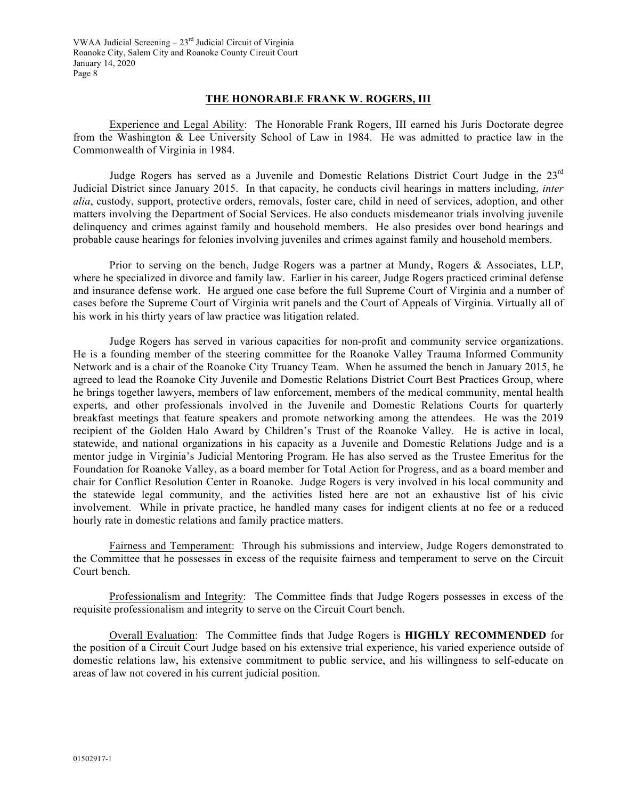## **THE HONORABLE FRANK W. ROGERS, III**

Experience and Legal Ability: The Honorable Frank Rogers, III earned his Juris Doctorate degree from the Washington & Lee University School of Law in 1984. He was admitted to practice law in the Commonwealth of Virginia in 1984.

Judge Rogers has served as a Juvenile and Domestic Relations District Court Judge in the 23rd Judicial District since January 2015. In that capacity, he conducts civil hearings in matters including, *inter alia*, custody, support, protective orders, removals, foster care, child in need of services, adoption, and other matters involving the Department of Social Services. He also conducts misdemeanor trials involving juvenile delinquency and crimes against family and household members. He also presides over bond hearings and probable cause hearings for felonies involving juveniles and crimes against family and household members.

Prior to serving on the bench, Judge Rogers was a partner at Mundy, Rogers & Associates, LLP, where he specialized in divorce and family law. Earlier in his career, Judge Rogers practiced criminal defense and insurance defense work. He argued one case before the full Supreme Court of Virginia and a number of cases before the Supreme Court of Virginia writ panels and the Court of Appeals of Virginia. Virtually all of his work in his thirty years of law practice was litigation related.

Judge Rogers has served in various capacities for non-profit and community service organizations. He is a founding member of the steering committee for the Roanoke Valley Trauma Informed Community Network and is a chair of the Roanoke City Truancy Team. When he assumed the bench in January 2015, he agreed to lead the Roanoke City Juvenile and Domestic Relations District Court Best Practices Group, where he brings together lawyers, members of law enforcement, members of the medical community, mental health experts, and other professionals involved in the Juvenile and Domestic Relations Courts for quarterly breakfast meetings that feature speakers and promote networking among the attendees. He was the 2019 recipient of the Golden Halo Award by Children's Trust of the Roanoke Valley. He is active in local, statewide, and national organizations in his capacity as a Juvenile and Domestic Relations Judge and is a mentor judge in Virginia's Judicial Mentoring Program. He has also served as the Trustee Emeritus for the Foundation for Roanoke Valley, as a board member for Total Action for Progress, and as a board member and chair for Conflict Resolution Center in Roanoke. Judge Rogers is very involved in his local community and the statewide legal community, and the activities listed here are not an exhaustive list of his civic involvement. While in private practice, he handled many cases for indigent clients at no fee or a reduced hourly rate in domestic relations and family practice matters.

Fairness and Temperament: Through his submissions and interview, Judge Rogers demonstrated to the Committee that he possesses in excess of the requisite fairness and temperament to serve on the Circuit Court bench.

Professionalism and Integrity: The Committee finds that Judge Rogers possesses in excess of the requisite professionalism and integrity to serve on the Circuit Court bench.

Overall Evaluation: The Committee finds that Judge Rogers is **HIGHLY RECOMMENDED** for the position of a Circuit Court Judge based on his extensive trial experience, his varied experience outside of domestic relations law, his extensive commitment to public service, and his willingness to self-educate on areas of law not covered in his current judicial position.